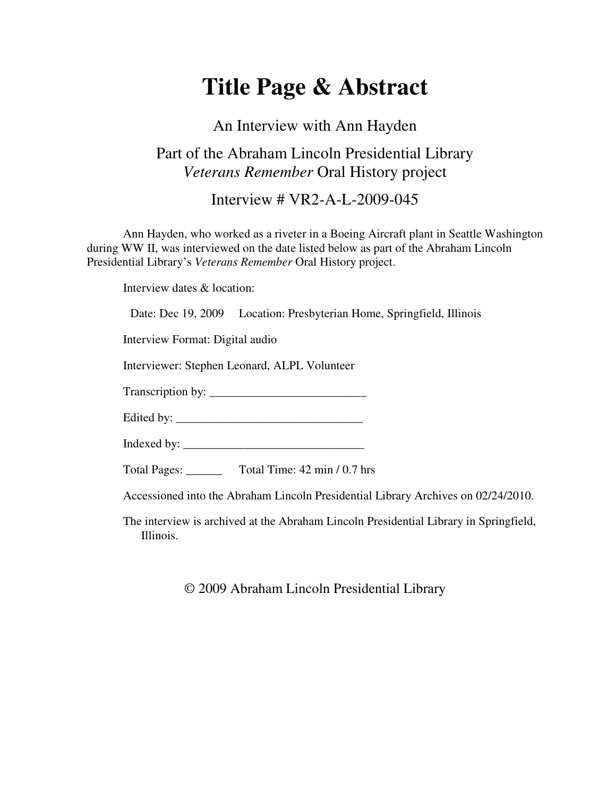## **Title Page & Abstract**

## An Interview with Ann Hayden Part of the Abraham Lincoln Presidential Library *Veterans Remember* Oral History project

Interview # VR2-A-L-2009-045

Ann Hayden, who worked as a riveter in a Boeing Aircraft plant in Seattle Washington during WW II, was interviewed on the date listed below as part of the Abraham Lincoln Presidential Library's *Veterans Remember* Oral History project.

Interview dates & location:

Date: Dec 19, 2009 Location: Presbyterian Home, Springfield, Illinois

Interview Format: Digital audio

Interviewer: Stephen Leonard, ALPL Volunteer

Transcription by: \_\_\_\_\_\_\_\_\_\_\_\_\_\_\_\_\_\_\_\_\_\_\_\_\_\_

Edited by: \_\_\_\_\_\_\_\_\_\_\_\_\_\_\_\_\_\_\_\_\_\_\_\_\_\_\_\_\_\_\_

Indexed by: \_\_\_\_\_\_\_\_\_\_\_\_\_\_\_\_\_\_\_\_\_\_\_\_\_\_\_\_\_\_

Total Pages: \_\_\_\_\_\_ Total Time: 42 min / 0.7 hrs

Accessioned into the Abraham Lincoln Presidential Library Archives on 02/24/2010.

The interview is archived at the Abraham Lincoln Presidential Library in Springfield, Illinois.

© 2009 Abraham Lincoln Presidential Library